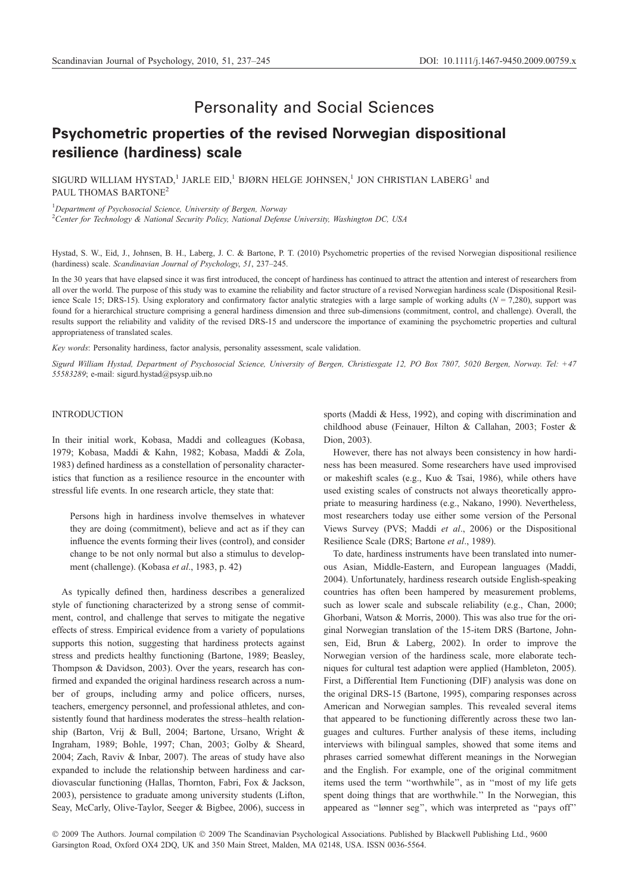# Personality and Social Sciences

# Psychometric properties of the revised Norwegian dispositional resilience (hardiness) scale

SIGURD WILLIAM HYSTAD,<sup>1</sup> JARLE EID,<sup>1</sup> BJØRN HELGE JOHNSEN,<sup>1</sup> JON CHRISTIAN LABERG<sup>1</sup> and PAUL THOMAS BARTONE<sup>2</sup>

<sup>1</sup>Department of Psychosocial Science, University of Bergen, Norway

<sup>2</sup> Center for Technology & National Security Policy, National Defense University, Washington DC, USA

Hystad, S. W., Eid, J., Johnsen, B. H., Laberg, J. C. & Bartone, P. T. (2010) Psychometric properties of the revised Norwegian dispositional resilience (hardiness) scale. Scandinavian Journal of Psychology, 51, 237–245.

In the 30 years that have elapsed since it was first introduced, the concept of hardiness has continued to attract the attention and interest of researchers from all over the world. The purpose of this study was to examine the reliability and factor structure of a revised Norwegian hardiness scale (Dispositional Resilience Scale 15; DRS-15). Using exploratory and confirmatory factor analytic strategies with a large sample of working adults ( $N = 7,280$ ), support was found for a hierarchical structure comprising a general hardiness dimension and three sub-dimensions (commitment, control, and challenge). Overall, the results support the reliability and validity of the revised DRS-15 and underscore the importance of examining the psychometric properties and cultural appropriateness of translated scales.

Key words: Personality hardiness, factor analysis, personality assessment, scale validation.

Sigurd William Hystad, Department of Psychosocial Science, University of Bergen, Christiesgate 12, PO Box 7807, 5020 Bergen, Norway. Tel: +47 55583289; e-mail: sigurd.hystad@psysp.uib.no

## INTRODUCTION

In their initial work, Kobasa, Maddi and colleagues (Kobasa, 1979; Kobasa, Maddi & Kahn, 1982; Kobasa, Maddi & Zola, 1983) defined hardiness as a constellation of personality characteristics that function as a resilience resource in the encounter with stressful life events. In one research article, they state that:

Persons high in hardiness involve themselves in whatever they are doing (commitment), believe and act as if they can influence the events forming their lives (control), and consider change to be not only normal but also a stimulus to development (challenge). (Kobasa et al., 1983, p. 42)

As typically defined then, hardiness describes a generalized style of functioning characterized by a strong sense of commitment, control, and challenge that serves to mitigate the negative effects of stress. Empirical evidence from a variety of populations supports this notion, suggesting that hardiness protects against stress and predicts healthy functioning (Bartone, 1989; Beasley, Thompson & Davidson, 2003). Over the years, research has confirmed and expanded the original hardiness research across a number of groups, including army and police officers, nurses, teachers, emergency personnel, and professional athletes, and consistently found that hardiness moderates the stress–health relationship (Barton, Vrij & Bull, 2004; Bartone, Ursano, Wright & Ingraham, 1989; Bohle, 1997; Chan, 2003; Golby & Sheard, 2004; Zach, Raviv & Inbar, 2007). The areas of study have also expanded to include the relationship between hardiness and cardiovascular functioning (Hallas, Thornton, Fabri, Fox & Jackson, 2003), persistence to graduate among university students (Lifton, Seay, McCarly, Olive-Taylor, Seeger & Bigbee, 2006), success in sports (Maddi & Hess, 1992), and coping with discrimination and childhood abuse (Feinauer, Hilton & Callahan, 2003; Foster & Dion, 2003).

However, there has not always been consistency in how hardiness has been measured. Some researchers have used improvised or makeshift scales (e.g., Kuo & Tsai, 1986), while others have used existing scales of constructs not always theoretically appropriate to measuring hardiness (e.g., Nakano, 1990). Nevertheless, most researchers today use either some version of the Personal Views Survey (PVS; Maddi et al., 2006) or the Dispositional Resilience Scale (DRS; Bartone et al., 1989).

To date, hardiness instruments have been translated into numerous Asian, Middle-Eastern, and European languages (Maddi, 2004). Unfortunately, hardiness research outside English-speaking countries has often been hampered by measurement problems, such as lower scale and subscale reliability (e.g., Chan, 2000; Ghorbani, Watson & Morris, 2000). This was also true for the original Norwegian translation of the 15-item DRS (Bartone, Johnsen, Eid, Brun & Laberg, 2002). In order to improve the Norwegian version of the hardiness scale, more elaborate techniques for cultural test adaption were applied (Hambleton, 2005). First, a Differential Item Functioning (DIF) analysis was done on the original DRS-15 (Bartone, 1995), comparing responses across American and Norwegian samples. This revealed several items that appeared to be functioning differently across these two languages and cultures. Further analysis of these items, including interviews with bilingual samples, showed that some items and phrases carried somewhat different meanings in the Norwegian and the English. For example, one of the original commitment items used the term ''worthwhile'', as in ''most of my life gets spent doing things that are worthwhile.'' In the Norwegian, this appeared as ''lønner seg'', which was interpreted as ''pays off''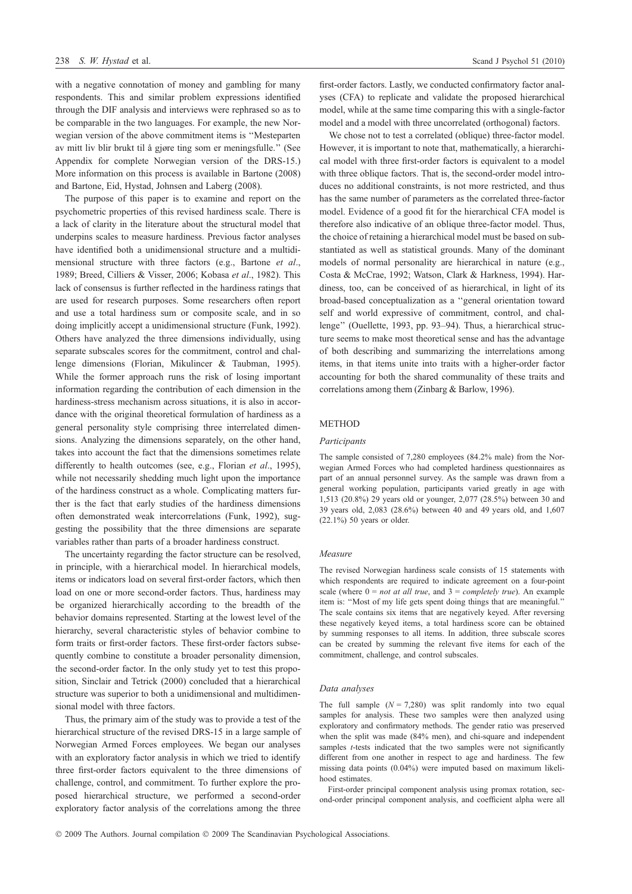with a negative connotation of money and gambling for many respondents. This and similar problem expressions identified through the DIF analysis and interviews were rephrased so as to be comparable in the two languages. For example, the new Norwegian version of the above commitment items is ''Mesteparten av mitt liv blir brukt til å gjøre ting som er meningsfulle." (See Appendix for complete Norwegian version of the DRS-15.) More information on this process is available in Bartone (2008) and Bartone, Eid, Hystad, Johnsen and Laberg (2008).

The purpose of this paper is to examine and report on the psychometric properties of this revised hardiness scale. There is a lack of clarity in the literature about the structural model that underpins scales to measure hardiness. Previous factor analyses have identified both a unidimensional structure and a multidimensional structure with three factors (e.g., Bartone et al., 1989; Breed, Cilliers & Visser, 2006; Kobasa et al., 1982). This lack of consensus is further reflected in the hardiness ratings that are used for research purposes. Some researchers often report and use a total hardiness sum or composite scale, and in so doing implicitly accept a unidimensional structure (Funk, 1992). Others have analyzed the three dimensions individually, using separate subscales scores for the commitment, control and challenge dimensions (Florian, Mikulincer & Taubman, 1995). While the former approach runs the risk of losing important information regarding the contribution of each dimension in the hardiness-stress mechanism across situations, it is also in accordance with the original theoretical formulation of hardiness as a general personality style comprising three interrelated dimensions. Analyzing the dimensions separately, on the other hand, takes into account the fact that the dimensions sometimes relate differently to health outcomes (see, e.g., Florian et al., 1995), while not necessarily shedding much light upon the importance of the hardiness construct as a whole. Complicating matters further is the fact that early studies of the hardiness dimensions often demonstrated weak intercorrelations (Funk, 1992), suggesting the possibility that the three dimensions are separate variables rather than parts of a broader hardiness construct.

The uncertainty regarding the factor structure can be resolved, in principle, with a hierarchical model. In hierarchical models, items or indicators load on several first-order factors, which then load on one or more second-order factors. Thus, hardiness may be organized hierarchically according to the breadth of the behavior domains represented. Starting at the lowest level of the hierarchy, several characteristic styles of behavior combine to form traits or first-order factors. These first-order factors subsequently combine to constitute a broader personality dimension, the second-order factor. In the only study yet to test this proposition, Sinclair and Tetrick (2000) concluded that a hierarchical structure was superior to both a unidimensional and multidimensional model with three factors.

Thus, the primary aim of the study was to provide a test of the hierarchical structure of the revised DRS-15 in a large sample of Norwegian Armed Forces employees. We began our analyses with an exploratory factor analysis in which we tried to identify three first-order factors equivalent to the three dimensions of challenge, control, and commitment. To further explore the proposed hierarchical structure, we performed a second-order exploratory factor analysis of the correlations among the three

first-order factors. Lastly, we conducted confirmatory factor analyses (CFA) to replicate and validate the proposed hierarchical model, while at the same time comparing this with a single-factor model and a model with three uncorrelated (orthogonal) factors.

We chose not to test a correlated (oblique) three-factor model. However, it is important to note that, mathematically, a hierarchical model with three first-order factors is equivalent to a model with three oblique factors. That is, the second-order model introduces no additional constraints, is not more restricted, and thus has the same number of parameters as the correlated three-factor model. Evidence of a good fit for the hierarchical CFA model is therefore also indicative of an oblique three-factor model. Thus, the choice of retaining a hierarchical model must be based on substantiated as well as statistical grounds. Many of the dominant models of normal personality are hierarchical in nature (e.g., Costa & McCrae, 1992; Watson, Clark & Harkness, 1994). Hardiness, too, can be conceived of as hierarchical, in light of its broad-based conceptualization as a ''general orientation toward self and world expressive of commitment, control, and challenge'' (Ouellette, 1993, pp. 93–94). Thus, a hierarchical structure seems to make most theoretical sense and has the advantage of both describing and summarizing the interrelations among items, in that items unite into traits with a higher-order factor accounting for both the shared communality of these traits and correlations among them (Zinbarg & Barlow, 1996).

## METHOD

### Participants

The sample consisted of 7,280 employees (84.2% male) from the Norwegian Armed Forces who had completed hardiness questionnaires as part of an annual personnel survey. As the sample was drawn from a general working population, participants varied greatly in age with 1,513 (20.8%) 29 years old or younger, 2,077 (28.5%) between 30 and 39 years old, 2,083 (28.6%) between 40 and 49 years old, and 1,607 (22.1%) 50 years or older.

#### Measure

The revised Norwegian hardiness scale consists of 15 statements with which respondents are required to indicate agreement on a four-point scale (where  $0 = not$  at all true, and  $3 = completely$  true). An example item is: ''Most of my life gets spent doing things that are meaningful.'' The scale contains six items that are negatively keyed. After reversing these negatively keyed items, a total hardiness score can be obtained by summing responses to all items. In addition, three subscale scores can be created by summing the relevant five items for each of the commitment, challenge, and control subscales.

#### Data analyses

The full sample  $(N = 7,280)$  was split randomly into two equal samples for analysis. These two samples were then analyzed using exploratory and confirmatory methods. The gender ratio was preserved when the split was made (84% men), and chi-square and independent samples  $t$ -tests indicated that the two samples were not significantly different from one another in respect to age and hardiness. The few missing data points (0.04%) were imputed based on maximum likelihood estimates.

First-order principal component analysis using promax rotation, second-order principal component analysis, and coefficient alpha were all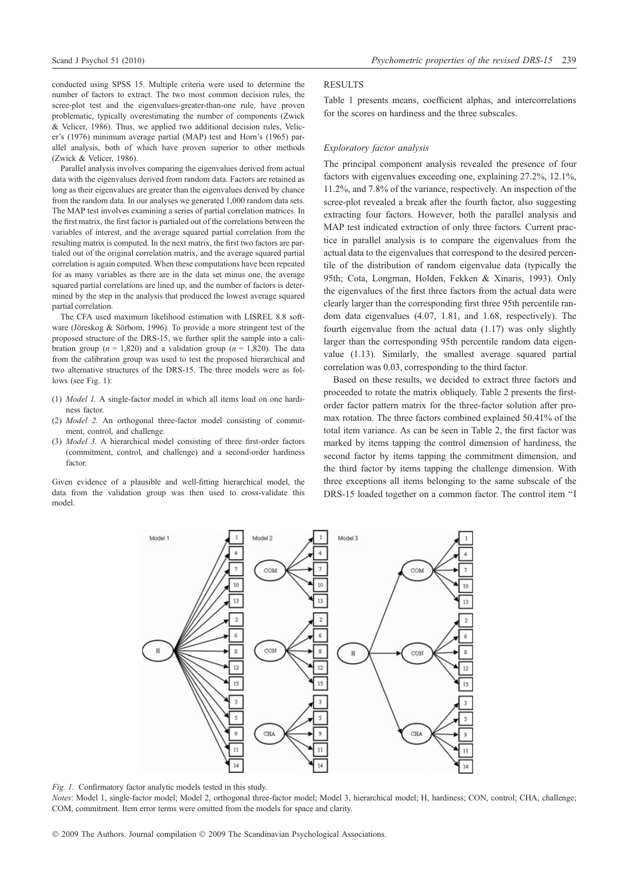conducted using SPSS 15. Multiple criteria were used to determine the number of factors to extract. The two most common decision rules, the scree-plot test and the eigenvalues-greater-than-one rule, have proven problematic, typically overestimating the number of components (Zwick & Velicer, 1986). Thus, we applied two additional decision rules, Velicer's (1976) minimum average partial (MAP) test and Horn's (1965) parallel analysis, both of which have proven superior to other methods (Zwick & Velicer, 1986).

Parallel analysis involves comparing the eigenvalues derived from actual data with the eigenvalues derived from random data. Factors are retained as long as their eigenvalues are greater than the eigenvalues derived by chance from the random data. In our analyses we generated 1,000 random data sets. The MAP test involves examining a series of partial correlation matrices. In the first matrix, the first factor is partialed out of the correlations between the variables of interest, and the average squared partial correlation from the resulting matrix is computed. In the next matrix, the first two factors are partialed out of the original correlation matrix, and the average squared partial correlation is again computed. When these computations have been repeated for as many variables as there are in the data set minus one, the average squared partial correlations are lined up, and the number of factors is determined by the step in the analysis that produced the lowest average squared partial correlation.

The CFA used maximum likelihood estimation with LISREL 8.8 software (Jöreskog & Sörbom, 1996). To provide a more stringent test of the proposed structure of the DRS-15, we further split the sample into a calibration group ( $n = 1,820$ ) and a validation group ( $n = 1,820$ ). The data from the calibration group was used to test the proposed hierarchical and two alternative structures of the DRS-15. The three models were as follows (see Fig. 1):

- (1) Model 1. A single-factor model in which all items load on one hardiness factor.
- (2) Model 2. An orthogonal three-factor model consisting of commitment, control, and challenge.
- (3) Model 3. A hierarchical model consisting of three first-order factors (commitment, control, and challenge) and a second-order hardiness factor.

Given evidence of a plausible and well-fitting hierarchical model, the data from the validation group was then used to cross-validate this model.

### RESULTS

Table 1 presents means, coefficient alphas, and intercorrelations for the scores on hardiness and the three subscales.

#### Exploratory factor analysis

The principal component analysis revealed the presence of four factors with eigenvalues exceeding one, explaining 27.2%, 12.1%, 11.2%, and 7.8% of the variance, respectively. An inspection of the scree-plot revealed a break after the fourth factor, also suggesting extracting four factors. However, both the parallel analysis and MAP test indicated extraction of only three factors. Current practice in parallel analysis is to compare the eigenvalues from the actual data to the eigenvalues that correspond to the desired percentile of the distribution of random eigenvalue data (typically the 95th; Cota, Longman, Holden, Fekken & Xinaris, 1993). Only the eigenvalues of the first three factors from the actual data were clearly larger than the corresponding first three 95th percentile random data eigenvalues (4.07, 1.81, and 1.68, respectively). The fourth eigenvalue from the actual data (1.17) was only slightly larger than the corresponding 95th percentile random data eigenvalue (1.13). Similarly, the smallest average squared partial correlation was 0.03, corresponding to the third factor.

Based on these results, we decided to extract three factors and proceeded to rotate the matrix obliquely. Table 2 presents the firstorder factor pattern matrix for the three-factor solution after promax rotation. The three factors combined explained 50.41% of the total item variance. As can be seen in Table 2, the first factor was marked by items tapping the control dimension of hardiness, the second factor by items tapping the commitment dimension, and the third factor by items tapping the challenge dimension. With three exceptions all items belonging to the same subscale of the DRS-15 loaded together on a common factor. The control item ''I



Fig. 1. Confirmatory factor analytic models tested in this study.

Notes: Model 1, single-factor model; Model 2, orthogonal three-factor model; Model 3, hierarchical model; H, hardiness; CON, control; CHA, challenge; COM, commitment. Item error terms were omitted from the models for space and clarity.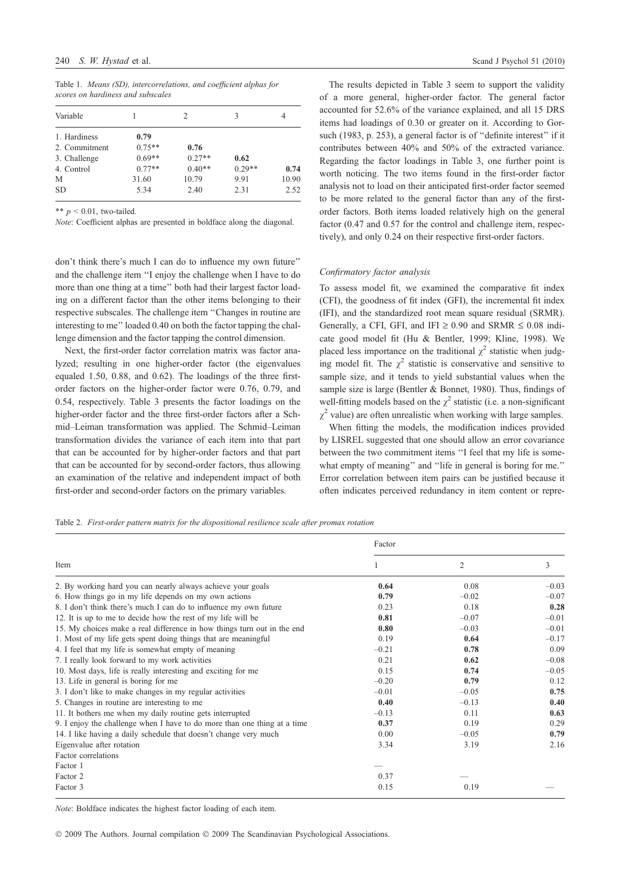|                                   | Table 1. Means (SD), intercorrelations, and coefficient alphas for |  |  |
|-----------------------------------|--------------------------------------------------------------------|--|--|
| scores on hardiness and subscales |                                                                    |  |  |

| Variable      |          | 2        | 3        |       |
|---------------|----------|----------|----------|-------|
| 1. Hardiness  | 0.79     |          |          |       |
| 2. Commitment | $0.75**$ | 0.76     |          |       |
| 3. Challenge  | $0.69**$ | $0.27**$ | 0.62     |       |
| 4. Control    | $0.77**$ | $0.40**$ | $0.29**$ | 0.74  |
| M             | 31.60    | 10.79    | 9.91     | 10.90 |
| <b>SD</b>     | 5.34     | 2.40     | 2.31     | 2.52  |

\*\*  $p < 0.01$ , two-tailed.

Note: Coefficient alphas are presented in boldface along the diagonal.

don't think there's much I can do to influence my own future'' and the challenge item ''I enjoy the challenge when I have to do more than one thing at a time'' both had their largest factor loading on a different factor than the other items belonging to their respective subscales. The challenge item ''Changes in routine are interesting to me'' loaded 0.40 on both the factor tapping the challenge dimension and the factor tapping the control dimension.

Next, the first-order factor correlation matrix was factor analyzed; resulting in one higher-order factor (the eigenvalues equaled 1.50, 0.88, and 0.62). The loadings of the three firstorder factors on the higher-order factor were 0.76, 0.79, and 0.54, respectively. Table 3 presents the factor loadings on the higher-order factor and the three first-order factors after a Schmid–Leiman transformation was applied. The Schmid–Leiman transformation divides the variance of each item into that part that can be accounted for by higher-order factors and that part that can be accounted for by second-order factors, thus allowing an examination of the relative and independent impact of both first-order and second-order factors on the primary variables.

The results depicted in Table 3 seem to support the validity of a more general, higher-order factor. The general factor accounted for 52.6% of the variance explained, and all 15 DRS items had loadings of 0.30 or greater on it. According to Gorsuch (1983, p. 253), a general factor is of ''definite interest'' if it contributes between 40% and 50% of the extracted variance. Regarding the factor loadings in Table 3, one further point is worth noticing. The two items found in the first-order factor analysis not to load on their anticipated first-order factor seemed to be more related to the general factor than any of the firstorder factors. Both items loaded relatively high on the general factor (0.47 and 0.57 for the control and challenge item, respectively), and only 0.24 on their respective first-order factors.

## Confirmatory factor analysis

To assess model fit, we examined the comparative fit index (CFI), the goodness of fit index (GFI), the incremental fit index (IFI), and the standardized root mean square residual (SRMR). Generally, a CFI, GFI, and IFI  $\geq 0.90$  and SRMR  $\leq 0.08$  indicate good model fit (Hu & Bentler, 1999; Kline, 1998). We placed less importance on the traditional  $\chi^2$  statistic when judging model fit. The  $\chi^2$  statistic is conservative and sensitive to sample size, and it tends to yield substantial values when the sample size is large (Bentler & Bonnet, 1980). Thus, findings of well-fitting models based on the  $\gamma^2$  statistic (i.e. a non-significant  $\chi^2$  value) are often unrealistic when working with large samples.

When fitting the models, the modification indices provided by LISREL suggested that one should allow an error covariance between the two commitment items ''I feel that my life is somewhat empty of meaning" and "life in general is boring for me." Error correlation between item pairs can be justified because it often indicates perceived redundancy in item content or repre-

|  |  |  | Table 2. First-order pattern matrix for the dispositional resilience scale after promax rotation |
|--|--|--|--------------------------------------------------------------------------------------------------|
|  |  |  |                                                                                                  |

|                                                                          | Factor  |                |         |  |
|--------------------------------------------------------------------------|---------|----------------|---------|--|
| Item                                                                     |         | $\overline{2}$ | 3       |  |
| 2. By working hard you can nearly always achieve your goals              | 0.64    | 0.08           | $-0.03$ |  |
| 6. How things go in my life depends on my own actions                    | 0.79    | $-0.02$        | $-0.07$ |  |
| 8. I don't think there's much I can do to influence my own future        | 0.23    | 0.18           | 0.28    |  |
| 12. It is up to me to decide how the rest of my life will be             | 0.81    | $-0.07$        | $-0.01$ |  |
| 15. My choices make a real difference in how things turn out in the end  | 0.80    | $-0.03$        | $-0.01$ |  |
| 1. Most of my life gets spent doing things that are meaningful           | 0.19    | 0.64           | $-0.17$ |  |
| 4. I feel that my life is somewhat empty of meaning                      | $-0.21$ | 0.78           | 0.09    |  |
| 7. I really look forward to my work activities                           | 0.21    | 0.62           | $-0.08$ |  |
| 10. Most days, life is really interesting and exciting for me            | 0.15    | 0.74           | $-0.05$ |  |
| 13. Life in general is boring for me                                     | $-0.20$ | 0.79           | 0.12    |  |
| 3. I don't like to make changes in my regular activities                 | $-0.01$ | $-0.05$        | 0.75    |  |
| 5. Changes in routine are interesting to me                              | 0.40    | $-0.13$        | 0.40    |  |
| 11. It bothers me when my daily routine gets interrupted                 | $-0.13$ | 0.11           | 0.63    |  |
| 9. I enjoy the challenge when I have to do more than one thing at a time | 0.37    | 0.19           | 0.29    |  |
| 14. I like having a daily schedule that doesn't change very much         | 0.00    | $-0.05$        | 0.79    |  |
| Eigenvalue after rotation                                                | 3.34    | 3.19           | 2.16    |  |
| Factor correlations                                                      |         |                |         |  |
| Factor 1                                                                 |         |                |         |  |
| Factor 2                                                                 | 0.37    |                |         |  |
| Factor 3                                                                 | 0.15    | 0.19           |         |  |

Note: Boldface indicates the highest factor loading of each item.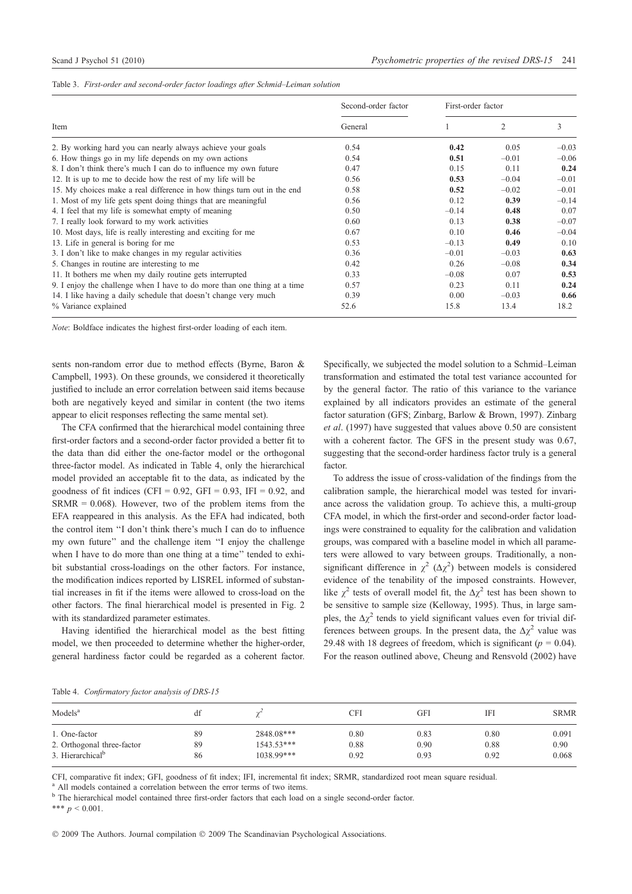#### Table 3. First-order and second-order factor loadings after Schmid–Leiman solution

|                                                                          | Second-order factor | First-order factor |         |         |
|--------------------------------------------------------------------------|---------------------|--------------------|---------|---------|
| Item                                                                     | General             |                    | 2       | 3       |
| 2. By working hard you can nearly always achieve your goals              | 0.54                | 0.42               | 0.05    | $-0.03$ |
| 6. How things go in my life depends on my own actions                    | 0.54                | 0.51               | $-0.01$ | $-0.06$ |
| 8. I don't think there's much I can do to influence my own future        | 0.47                | 0.15               | 0.11    | 0.24    |
| 12. It is up to me to decide how the rest of my life will be             | 0.56                | 0.53               | $-0.04$ | $-0.01$ |
| 15. My choices make a real difference in how things turn out in the end  | 0.58                | 0.52               | $-0.02$ | $-0.01$ |
| 1. Most of my life gets spent doing things that are meaningful           | 0.56                | 0.12               | 0.39    | $-0.14$ |
| 4. I feel that my life is somewhat empty of meaning                      | 0.50                | $-0.14$            | 0.48    | 0.07    |
| 7. I really look forward to my work activities                           | 0.60                | 0.13               | 0.38    | $-0.07$ |
| 10. Most days, life is really interesting and exciting for me            | 0.67                | 0.10               | 0.46    | $-0.04$ |
| 13. Life in general is boring for me                                     | 0.53                | $-0.13$            | 0.49    | 0.10    |
| 3. I don't like to make changes in my regular activities                 | 0.36                | $-0.01$            | $-0.03$ | 0.63    |
| 5. Changes in routine are interesting to me                              | 0.42                | 0.26               | $-0.08$ | 0.34    |
| 11. It bothers me when my daily routine gets interrupted                 | 0.33                | $-0.08$            | 0.07    | 0.53    |
| 9. I enjoy the challenge when I have to do more than one thing at a time | 0.57                | 0.23               | 0.11    | 0.24    |
| 14. I like having a daily schedule that doesn't change very much         | 0.39                | 0.00               | $-0.03$ | 0.66    |
| % Variance explained                                                     | 52.6                | 15.8               | 13.4    | 18.2    |

Note: Boldface indicates the highest first-order loading of each item.

sents non-random error due to method effects (Byrne, Baron & Campbell, 1993). On these grounds, we considered it theoretically justified to include an error correlation between said items because both are negatively keyed and similar in content (the two items appear to elicit responses reflecting the same mental set).

The CFA confirmed that the hierarchical model containing three first-order factors and a second-order factor provided a better fit to the data than did either the one-factor model or the orthogonal three-factor model. As indicated in Table 4, only the hierarchical model provided an acceptable fit to the data, as indicated by the goodness of fit indices (CFI =  $0.92$ , GFI =  $0.93$ , IFI =  $0.92$ , and  $SRMR = 0.068$ ). However, two of the problem items from the EFA reappeared in this analysis. As the EFA had indicated, both the control item ''I don't think there's much I can do to influence my own future'' and the challenge item ''I enjoy the challenge when I have to do more than one thing at a time'' tended to exhibit substantial cross-loadings on the other factors. For instance, the modification indices reported by LISREL informed of substantial increases in fit if the items were allowed to cross-load on the other factors. The final hierarchical model is presented in Fig. 2 with its standardized parameter estimates.

Having identified the hierarchical model as the best fitting model, we then proceeded to determine whether the higher-order, general hardiness factor could be regarded as a coherent factor. Specifically, we subjected the model solution to a Schmid–Leiman transformation and estimated the total test variance accounted for by the general factor. The ratio of this variance to the variance explained by all indicators provides an estimate of the general factor saturation (GFS; Zinbarg, Barlow & Brown, 1997). Zinbarg et al. (1997) have suggested that values above 0.50 are consistent with a coherent factor. The GFS in the present study was 0.67, suggesting that the second-order hardiness factor truly is a general factor.

To address the issue of cross-validation of the findings from the calibration sample, the hierarchical model was tested for invariance across the validation group. To achieve this, a multi-group CFA model, in which the first-order and second-order factor loadings were constrained to equality for the calibration and validation groups, was compared with a baseline model in which all parameters were allowed to vary between groups. Traditionally, a nonsignificant difference in  $\chi^2$  ( $\Delta \chi^2$ ) between models is considered evidence of the tenability of the imposed constraints. However, like  $\gamma^2$  tests of overall model fit, the  $\Delta \gamma^2$  test has been shown to be sensitive to sample size (Kelloway, 1995). Thus, in large samples, the  $\Delta \chi^2$  tends to yield significant values even for trivial differences between groups. In the present data, the  $\Delta\chi^2$  value was 29.48 with 18 degrees of freedom, which is significant ( $p = 0.04$ ). For the reason outlined above, Cheung and Rensvold (2002) have

Table 4. Confirmatory factor analysis of DRS-15

| Models <sup>a</sup>          | đÍ |              | CFI  | GFI  | IFI  | <b>SRMR</b> |
|------------------------------|----|--------------|------|------|------|-------------|
| 1. One-factor                | 89 | 2848.08***   | 0.80 | 0.83 | 0.80 | 0.091       |
| 2. Orthogonal three-factor   | 89 | $1543.53***$ | 0.88 | 0.90 | 0.88 | 0.90        |
| 3. Hierarchical <sup>b</sup> | 86 | 1038.99***   | 0.92 | 0.93 | 0.92 | 0.068       |

CFI, comparative fit index; GFI, goodness of fit index; IFI, incremental fit index; SRMR, standardized root mean square residual.

All models contained a correlation between the error terms of two items.

<sup>b</sup> The hierarchical model contained three first-order factors that each load on a single second-order factor.

\*\*\*  $p < 0.001$ .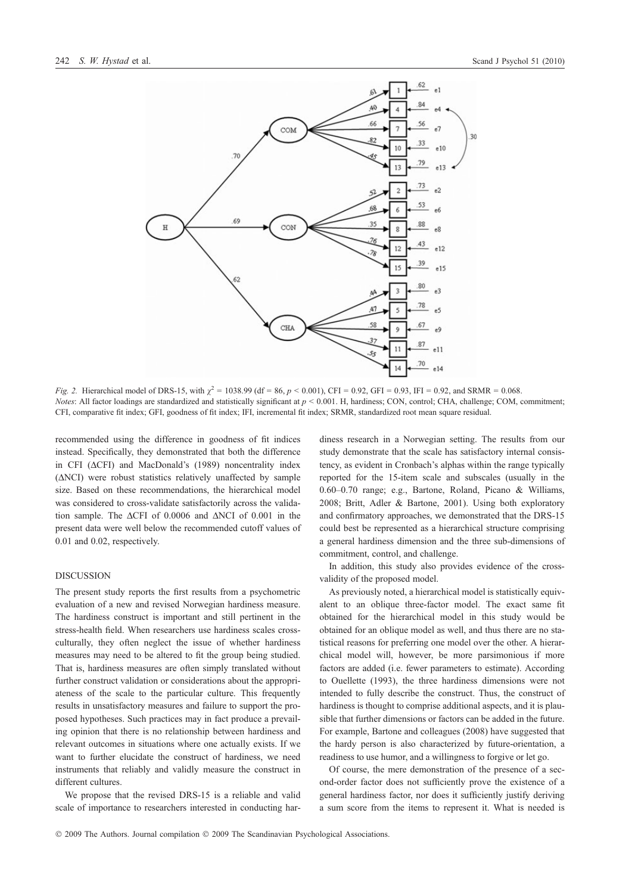

Fig. 2. Hierarchical model of DRS-15, with  $\gamma^2 = 1038.99$  (df = 86, p < 0.001), CFI = 0.92, GFI = 0.93, IFI = 0.92, and SRMR = 0.068. Notes: All factor loadings are standardized and statistically significant at  $p < 0.001$ . H, hardiness; CON, control; CHA, challenge; COM, commitment; CFI, comparative fit index; GFI, goodness of fit index; IFI, incremental fit index; SRMR, standardized root mean square residual.

recommended using the difference in goodness of fit indices instead. Specifically, they demonstrated that both the difference in CFI ( $\triangle$ CFI) and MacDonald's (1989) noncentrality index  $(ANCI)$  were robust statistics relatively unaffected by sample size. Based on these recommendations, the hierarchical model was considered to cross-validate satisfactorily across the validation sample. The  $\triangle$ CFI of 0.0006 and  $\triangle$ NCI of 0.001 in the present data were well below the recommended cutoff values of 0.01 and 0.02, respectively.

## DISCUSSION

The present study reports the first results from a psychometric evaluation of a new and revised Norwegian hardiness measure. The hardiness construct is important and still pertinent in the stress-health field. When researchers use hardiness scales crossculturally, they often neglect the issue of whether hardiness measures may need to be altered to fit the group being studied. That is, hardiness measures are often simply translated without further construct validation or considerations about the appropriateness of the scale to the particular culture. This frequently results in unsatisfactory measures and failure to support the proposed hypotheses. Such practices may in fact produce a prevailing opinion that there is no relationship between hardiness and relevant outcomes in situations where one actually exists. If we want to further elucidate the construct of hardiness, we need instruments that reliably and validly measure the construct in different cultures.

We propose that the revised DRS-15 is a reliable and valid scale of importance to researchers interested in conducting hardiness research in a Norwegian setting. The results from our study demonstrate that the scale has satisfactory internal consistency, as evident in Cronbach's alphas within the range typically reported for the 15-item scale and subscales (usually in the 0.60–0.70 range; e.g., Bartone, Roland, Picano & Williams, 2008; Britt, Adler & Bartone, 2001). Using both exploratory and confirmatory approaches, we demonstrated that the DRS-15 could best be represented as a hierarchical structure comprising a general hardiness dimension and the three sub-dimensions of commitment, control, and challenge.

In addition, this study also provides evidence of the crossvalidity of the proposed model.

As previously noted, a hierarchical model is statistically equivalent to an oblique three-factor model. The exact same fit obtained for the hierarchical model in this study would be obtained for an oblique model as well, and thus there are no statistical reasons for preferring one model over the other. A hierarchical model will, however, be more parsimonious if more factors are added (i.e. fewer parameters to estimate). According to Ouellette (1993), the three hardiness dimensions were not intended to fully describe the construct. Thus, the construct of hardiness is thought to comprise additional aspects, and it is plausible that further dimensions or factors can be added in the future. For example, Bartone and colleagues (2008) have suggested that the hardy person is also characterized by future-orientation, a readiness to use humor, and a willingness to forgive or let go.

Of course, the mere demonstration of the presence of a second-order factor does not sufficiently prove the existence of a general hardiness factor, nor does it sufficiently justify deriving a sum score from the items to represent it. What is needed is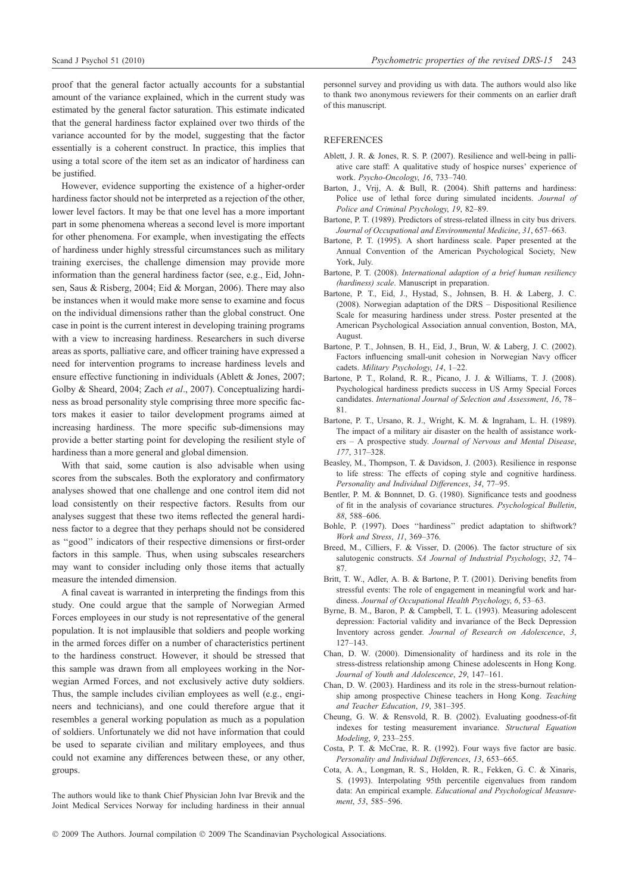proof that the general factor actually accounts for a substantial amount of the variance explained, which in the current study was estimated by the general factor saturation. This estimate indicated that the general hardiness factor explained over two thirds of the variance accounted for by the model, suggesting that the factor essentially is a coherent construct. In practice, this implies that using a total score of the item set as an indicator of hardiness can be justified.

However, evidence supporting the existence of a higher-order hardiness factor should not be interpreted as a rejection of the other, lower level factors. It may be that one level has a more important part in some phenomena whereas a second level is more important for other phenomena. For example, when investigating the effects of hardiness under highly stressful circumstances such as military training exercises, the challenge dimension may provide more information than the general hardiness factor (see, e.g., Eid, Johnsen, Saus & Risberg, 2004; Eid & Morgan, 2006). There may also be instances when it would make more sense to examine and focus on the individual dimensions rather than the global construct. One case in point is the current interest in developing training programs with a view to increasing hardiness. Researchers in such diverse areas as sports, palliative care, and officer training have expressed a need for intervention programs to increase hardiness levels and ensure effective functioning in individuals (Ablett & Jones, 2007; Golby & Sheard, 2004; Zach et al., 2007). Conceptualizing hardiness as broad personality style comprising three more specific factors makes it easier to tailor development programs aimed at increasing hardiness. The more specific sub-dimensions may provide a better starting point for developing the resilient style of hardiness than a more general and global dimension.

With that said, some caution is also advisable when using scores from the subscales. Both the exploratory and confirmatory analyses showed that one challenge and one control item did not load consistently on their respective factors. Results from our analyses suggest that these two items reflected the general hardiness factor to a degree that they perhaps should not be considered as ''good'' indicators of their respective dimensions or first-order factors in this sample. Thus, when using subscales researchers may want to consider including only those items that actually measure the intended dimension.

A final caveat is warranted in interpreting the findings from this study. One could argue that the sample of Norwegian Armed Forces employees in our study is not representative of the general population. It is not implausible that soldiers and people working in the armed forces differ on a number of characteristics pertinent to the hardiness construct. However, it should be stressed that this sample was drawn from all employees working in the Norwegian Armed Forces, and not exclusively active duty soldiers. Thus, the sample includes civilian employees as well (e.g., engineers and technicians), and one could therefore argue that it resembles a general working population as much as a population of soldiers. Unfortunately we did not have information that could be used to separate civilian and military employees, and thus could not examine any differences between these, or any other, groups.

The authors would like to thank Chief Physician John Ivar Brevik and the Joint Medical Services Norway for including hardiness in their annual

personnel survey and providing us with data. The authors would also like to thank two anonymous reviewers for their comments on an earlier draft of this manuscript.

#### REFERENCES

- Ablett, J. R. & Jones, R. S. P. (2007). Resilience and well-being in palliative care staff: A qualitative study of hospice nurses' experience of work. Psycho-Oncology, 16, 733–740.
- Barton, J., Vrij, A. & Bull, R. (2004). Shift patterns and hardiness: Police use of lethal force during simulated incidents. Journal of Police and Criminal Psychology, 19, 82–89.
- Bartone, P. T. (1989). Predictors of stress-related illness in city bus drivers. Journal of Occupational and Environmental Medicine, 31, 657–663.
- Bartone, P. T. (1995). A short hardiness scale. Paper presented at the Annual Convention of the American Psychological Society, New York, July.
- Bartone, P. T. (2008). International adaption of a brief human resiliency (hardiness) scale. Manuscript in preparation.
- Bartone, P. T., Eid, J., Hystad, S., Johnsen, B. H. & Laberg, J. C. (2008). Norwegian adaptation of the DRS – Dispositional Resilience Scale for measuring hardiness under stress. Poster presented at the American Psychological Association annual convention, Boston, MA, August.
- Bartone, P. T., Johnsen, B. H., Eid, J., Brun, W. & Laberg, J. C. (2002). Factors influencing small-unit cohesion in Norwegian Navy officer cadets. Military Psychology, 14, 1–22.
- Bartone, P. T., Roland, R. R., Picano, J. J. & Williams, T. J. (2008). Psychological hardiness predicts success in US Army Special Forces candidates. International Journal of Selection and Assessment, 16, 78– 81.
- Bartone, P. T., Ursano, R. J., Wright, K. M. & Ingraham, L. H. (1989). The impact of a military air disaster on the health of assistance workers – A prospective study. Journal of Nervous and Mental Disease, 177, 317–328.
- Beasley, M., Thompson, T. & Davidson, J. (2003). Resilience in response to life stress: The effects of coping style and cognitive hardiness. Personality and Individual Differences, 34, 77–95.
- Bentler, P. M. & Bonnnet, D. G. (1980). Significance tests and goodness of fit in the analysis of covariance structures. Psychological Bulletin, 88, 588–606.
- Bohle, P. (1997). Does ''hardiness'' predict adaptation to shiftwork? Work and Stress, 11, 369–376.
- Breed, M., Cilliers, F. & Visser, D. (2006). The factor structure of six salutogenic constructs. SA Journal of Industrial Psychology, 32, 74– 87.
- Britt, T. W., Adler, A. B. & Bartone, P. T. (2001). Deriving benefits from stressful events: The role of engagement in meaningful work and hardiness. Journal of Occupational Health Psychology, 6, 53–63.
- Byrne, B. M., Baron, P. & Campbell, T. L. (1993). Measuring adolescent depression: Factorial validity and invariance of the Beck Depression Inventory across gender. Journal of Research on Adolescence, 3, 127–143.
- Chan, D. W. (2000). Dimensionality of hardiness and its role in the stress-distress relationship among Chinese adolescents in Hong Kong. Journal of Youth and Adolescence, 29, 147–161.
- Chan, D. W. (2003). Hardiness and its role in the stress-burnout relationship among prospective Chinese teachers in Hong Kong. Teaching and Teacher Education, 19, 381–395.
- Cheung, G. W. & Rensvold, R. B. (2002). Evaluating goodness-of-fit indexes for testing measurement invariance. Structural Equation Modeling, 9, 233–255.
- Costa, P. T. & McCrae, R. R. (1992). Four ways five factor are basic. Personality and Individual Differences, 13, 653–665.
- Cota, A. A., Longman, R. S., Holden, R. R., Fekken, G. C. & Xinaris, S. (1993). Interpolating 95th percentile eigenvalues from random data: An empirical example. Educational and Psychological Measurement, 53, 585-596.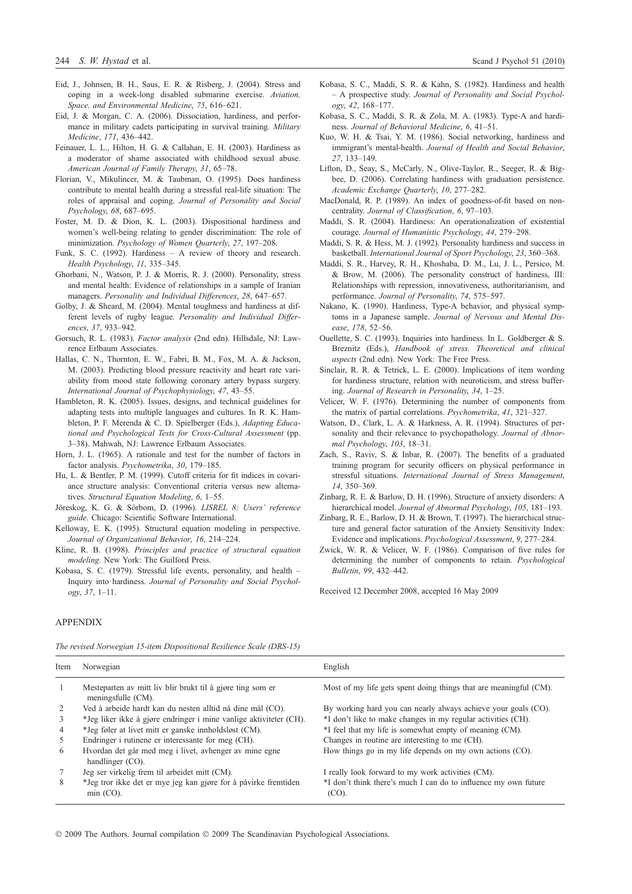- Eid, J., Johnsen, B. H., Saus, E. R. & Risberg, J. (2004). Stress and coping in a week-long disabled submarine exercise. Aviation, Space, and Environmental Medicine, 75, 616–621.
- Eid, J. & Morgan, C. A. (2006). Dissociation, hardiness, and performance in military cadets participating in survival training. Military Medicine, 171, 436–442.
- Feinauer, L. L., Hilton, H. G. & Callahan, E. H. (2003). Hardiness as a moderator of shame associated with childhood sexual abuse. American Journal of Family Therapy, 31, 65–78.
- Florian, V., Mikulincer, M. & Taubman, O. (1995). Does hardiness contribute to mental health during a stressful real-life situation: The roles of appraisal and coping. Journal of Personality and Social Psychology, 68, 687–695.
- Foster, M. D. & Dion, K. L. (2003). Dispositional hardiness and women's well-being relating to gender discrimination: The role of minimization. Psychology of Women Quarterly, 27, 197–208.
- Funk, S. C. (1992). Hardiness A review of theory and research. Health Psychology, 11, 335–345.
- Ghorbani, N., Watson, P. J. & Morris, R. J. (2000). Personality, stress and mental health: Evidence of relationships in a sample of Iranian managers. Personality and Individual Differences, 28, 647–657.
- Golby, J. & Sheard, M. (2004). Mental toughness and hardiness at different levels of rugby league. Personality and Individual Differences, 37, 933–942.
- Gorsuch, R. L. (1983). Factor analysis (2nd edn). Hillsdale, NJ: Lawrence Erlbaum Associates.
- Hallas, C. N., Thornton, E. W., Fabri, B. M., Fox, M. A. & Jackson, M. (2003). Predicting blood pressure reactivity and heart rate variability from mood state following coronary artery bypass surgery. International Journal of Psychophysiology, 47, 43–55.
- Hambleton, R. K. (2005). Issues, designs, and technical guidelines for adapting tests into multiple languages and cultures. In R. K. Hambleton, P. F. Merenda & C. D. Spielberger (Eds.), Adapting Educational and Psychological Tests for Cross-Cultural Assessment (pp. 3–38). Mahwah, NJ: Lawrence Erlbaum Associates.
- Horn, J. L. (1965). A rationale and test for the number of factors in factor analysis. Psychometrika, 30, 179–185.
- Hu, L. & Bentler, P. M. (1999). Cutoff criteria for fit indices in covariance structure analysis: Conventional criteria versus new alternatives. Structural Equation Modeling, 6, 1–55.
- Jöreskog, K. G. & Sörbom, D. (1996). LISREL 8: Users' reference guide. Chicago: Scientific Software International.
- Kelloway, E. K. (1995). Structural equation modeling in perspective. Journal of Organizational Behavior, 16, 214–224.
- Kline, R. B. (1998). Principles and practice of structural equation modeling. New York: The Guilford Press.
- Kobasa, S. C. (1979). Stressful life events, personality, and health Inquiry into hardiness. Journal of Personality and Social Psychology, 37, 1–11.
- Kobasa, S. C., Maddi, S. R. & Kahn, S. (1982). Hardiness and health – A prospective study. Journal of Personality and Social Psychology, 42, 168–177.
- Kobasa, S. C., Maddi, S. R. & Zola, M. A. (1983). Type-A and hardiness. Journal of Behavioral Medicine, 6, 41–51.
- Kuo, W. H. & Tsai, Y. M. (1986). Social networking, hardiness and immigrant's mental-health. Journal of Health and Social Behavior, 27, 133–149.
- Lifton, D., Seay, S., McCarly, N., Olive-Taylor, R., Seeger, R. & Bigbee, D. (2006). Correlating hardiness with graduation persistence. Academic Exchange Quarterly, 10, 277–282.
- MacDonald, R. P. (1989). An index of goodness-of-fit based on noncentrality. Journal of Classification, 6, 97–103.
- Maddi, S. R. (2004). Hardiness: An operationalization of existential courage. Journal of Humanistic Psychology, 44, 279–298.
- Maddi, S. R. & Hess, M. J. (1992). Personality hardiness and success in basketball. International Journal of Sport Psychology, 23, 360–368.
- Maddi, S. R., Harvey, R. H., Khoshaba, D. M., Lu, J. L., Persico, M. & Brow, M. (2006). The personality construct of hardiness, III: Relationships with repression, innovativeness, authoritarianism, and performance. Journal of Personality, 74, 575–597.
- Nakano, K. (1990). Hardiness, Type-A behavior, and physical symptoms in a Japanese sample. Journal of Nervous and Mental Disease, 178, 52–56.
- Ouellette, S. C. (1993). Inquiries into hardiness. In L. Goldberger & S. Breznitz (Eds.), Handbook of stress. Theoretical and clinical aspects (2nd edn). New York: The Free Press.
- Sinclair, R. R. & Tetrick, L. E. (2000). Implications of item wording for hardiness structure, relation with neuroticism, and stress buffering. Journal of Research in Personality, 34, 1–25.
- Velicer, W. F. (1976). Determining the number of components from the matrix of partial correlations. Psychometrika, 41, 321–327.
- Watson, D., Clark, L. A. & Harkness, A. R. (1994). Structures of personality and their relevance to psychopathology. Journal of Abnormal Psychology, 103, 18–31.
- Zach, S., Raviv, S. & Inbar, R. (2007). The benefits of a graduated training program for security officers on physical performance in stressful situations. International Journal of Stress Management, 14, 350–369.
- Zinbarg, R. E. & Barlow, D. H. (1996). Structure of anxiety disorders: A hierarchical model. Journal of Abnormal Psychology, 105, 181–193.
- Zinbarg, R. E., Barlow, D. H. & Brown, T. (1997). The hierarchical structure and general factor saturation of the Anxiety Sensitivity Index: Evidence and implications. Psychological Assessment, 9, 277–284.
- Zwick, W. R. & Velicer, W. F. (1986). Comparison of five rules for determining the number of components to retain. Psychological Bulletin, 99, 432–442.

Received 12 December 2008, accepted 16 May 2009

## APPENDIX

The revised Norwegian 15-item Dispositional Resilience Scale (DRS-15)

| Item | Norwegian                                                                        | English                                                                     |
|------|----------------------------------------------------------------------------------|-----------------------------------------------------------------------------|
|      | Mesteparten av mitt liv blir brukt til å gjøre ting som er<br>meningsfulle (CM). | Most of my life gets spent doing things that are meaningful (CM).           |
| 2    | Ved å arbeide hardt kan du nesten alltid nå dine mål (CO).                       | By working hard you can nearly always achieve your goals (CO).              |
| 3    | *Jeg liker ikke å gjøre endringer i mine vanlige aktiviteter (CH).               | *I don't like to make changes in my regular activities (CH).                |
| 4    | *Jeg føler at livet mitt er ganske innholdsløst (CM).                            | *I feel that my life is somewhat empty of meaning (CM).                     |
| 5    | Endringer i rutinene er interessante for meg (CH).                               | Changes in routine are interesting to me (CH).                              |
| 6    | Hvordan det går med meg i livet, avhenger av mine egne<br>handlinger (CO).       | How things go in my life depends on my own actions (CO).                    |
|      | Jeg ser virkelig frem til arbeidet mitt (CM).                                    | I really look forward to my work activities (CM).                           |
| 8    | *Jeg tror ikke det er mye jeg kan gjøre for å påvirke fremtiden<br>$min (CO)$ .  | *I don't think there's much I can do to influence my own future<br>$(CO)$ . |